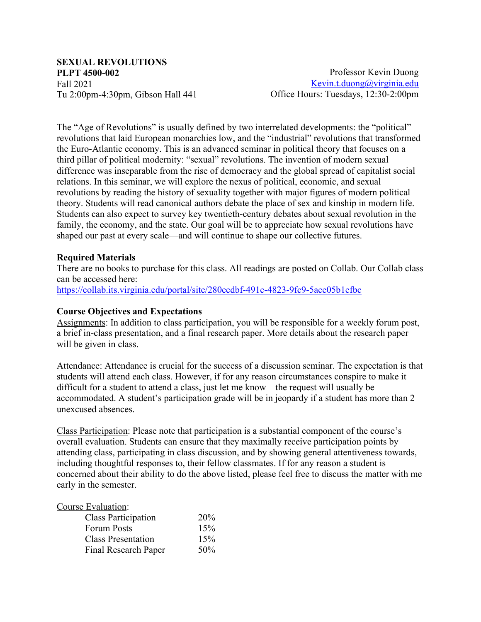# **SEXUAL REVOLUTIONS PLPT 4500-002** Fall 2021 Tu 2:00pm-4:30pm, Gibson Hall 441

Professor Kevin Duong Kevin.t.duong@virginia.edu Office Hours: Tuesdays, 12:30-2:00pm

The "Age of Revolutions" is usually defined by two interrelated developments: the "political" revolutions that laid European monarchies low, and the "industrial" revolutions that transformed the Euro-Atlantic economy. This is an advanced seminar in political theory that focuses on a third pillar of political modernity: "sexual" revolutions. The invention of modern sexual difference was inseparable from the rise of democracy and the global spread of capitalist social relations. In this seminar, we will explore the nexus of political, economic, and sexual revolutions by reading the history of sexuality together with major figures of modern political theory. Students will read canonical authors debate the place of sex and kinship in modern life. Students can also expect to survey key twentieth-century debates about sexual revolution in the family, the economy, and the state. Our goal will be to appreciate how sexual revolutions have shaped our past at every scale—and will continue to shape our collective futures.

# **Required Materials**

There are no books to purchase for this class. All readings are posted on Collab. Our Collab class can be accessed here:

https://collab.its.virginia.edu/portal/site/280ecdbf-491c-4823-9fc9-5ace05b1efbc

## **Course Objectives and Expectations**

Assignments: In addition to class participation, you will be responsible for a weekly forum post, a brief in-class presentation, and a final research paper. More details about the research paper will be given in class.

Attendance: Attendance is crucial for the success of a discussion seminar. The expectation is that students will attend each class. However, if for any reason circumstances conspire to make it difficult for a student to attend a class, just let me know – the request will usually be accommodated. A student's participation grade will be in jeopardy if a student has more than 2 unexcused absences.

Class Participation: Please note that participation is a substantial component of the course's overall evaluation. Students can ensure that they maximally receive participation points by attending class, participating in class discussion, and by showing general attentiveness towards, including thoughtful responses to, their fellow classmates. If for any reason a student is concerned about their ability to do the above listed, please feel free to discuss the matter with me early in the semester.

#### Course Evaluation:

| <b>Class Participation</b> | 20% |
|----------------------------|-----|
| <b>Forum Posts</b>         | 15% |
| <b>Class Presentation</b>  | 15% |
| Final Research Paper       | 50% |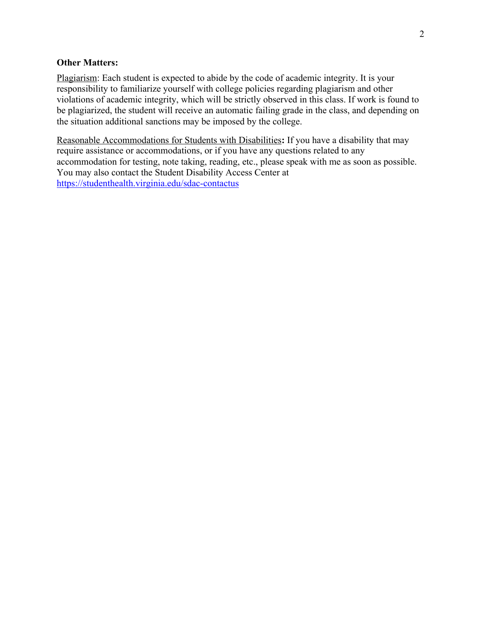### **Other Matters:**

Plagiarism: Each student is expected to abide by the code of academic integrity. It is your responsibility to familiarize yourself with college policies regarding plagiarism and other violations of academic integrity, which will be strictly observed in this class. If work is found to be plagiarized, the student will receive an automatic failing grade in the class, and depending on the situation additional sanctions may be imposed by the college.

Reasonable Accommodations for Students with Disabilities**:** If you have a disability that may require assistance or accommodations, or if you have any questions related to any accommodation for testing, note taking, reading, etc., please speak with me as soon as possible. You may also contact the Student Disability Access Center at https://studenthealth.virginia.edu/sdac-contactus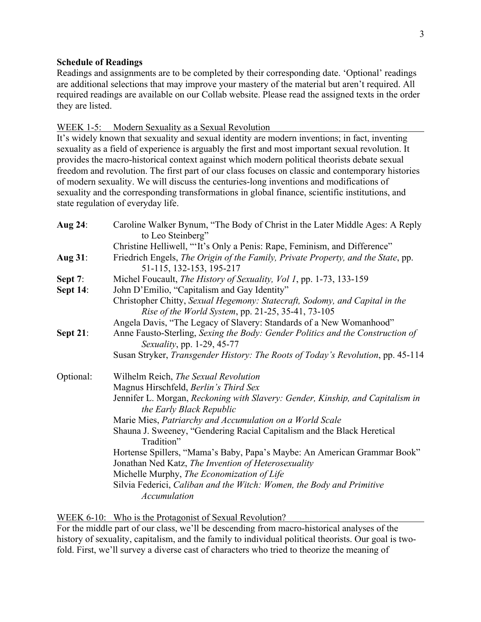### **Schedule of Readings**

Readings and assignments are to be completed by their corresponding date. 'Optional' readings are additional selections that may improve your mastery of the material but aren't required. All required readings are available on our Collab website. Please read the assigned texts in the order they are listed.

#### WEEK 1-5: Modern Sexuality as a Sexual Revolution

It's widely known that sexuality and sexual identity are modern inventions; in fact, inventing sexuality as a field of experience is arguably the first and most important sexual revolution. It provides the macro-historical context against which modern political theorists debate sexual freedom and revolution. The first part of our class focuses on classic and contemporary histories of modern sexuality. We will discuss the centuries-long inventions and modifications of sexuality and the corresponding transformations in global finance, scientific institutions, and state regulation of everyday life.

| <b>Aug 24:</b>  | Caroline Walker Bynum, "The Body of Christ in the Later Middle Ages: A Reply<br>to Leo Steinberg"                                 |
|-----------------|-----------------------------------------------------------------------------------------------------------------------------------|
|                 | Christine Helliwell, "'It's Only a Penis: Rape, Feminism, and Difference"                                                         |
| <b>Aug 31:</b>  | Friedrich Engels, The Origin of the Family, Private Property, and the State, pp.<br>51-115, 132-153, 195-217                      |
| Sept 7:         | Michel Foucault, The History of Sexuality, Vol 1, pp. 1-73, 133-159                                                               |
| <b>Sept 14:</b> | John D'Emilio, "Capitalism and Gay Identity"                                                                                      |
|                 | Christopher Chitty, Sexual Hegemony: Statecraft, Sodomy, and Capital in the<br>Rise of the World System, pp. 21-25, 35-41, 73-105 |
|                 | Angela Davis, "The Legacy of Slavery: Standards of a New Womanhood"                                                               |
| <b>Sept 21:</b> | Anne Fausto-Sterling, Sexing the Body: Gender Politics and the Construction of<br>Sexuality, pp. 1-29, 45-77                      |
|                 | Susan Stryker, Transgender History: The Roots of Today's Revolution, pp. 45-114                                                   |
| Optional:       | Wilhelm Reich, The Sexual Revolution                                                                                              |
|                 | Magnus Hirschfeld, Berlin's Third Sex                                                                                             |
|                 | Jennifer L. Morgan, Reckoning with Slavery: Gender, Kinship, and Capitalism in<br>the Early Black Republic                        |
|                 | Marie Mies, Patriarchy and Accumulation on a World Scale                                                                          |
|                 | Shauna J. Sweeney, "Gendering Racial Capitalism and the Black Heretical<br>Tradition"                                             |
|                 | Hortense Spillers, "Mama's Baby, Papa's Maybe: An American Grammar Book"<br>Jonathan Ned Katz, The Invention of Heterosexuality   |
|                 | Michelle Murphy, The Economization of Life                                                                                        |
|                 | Silvia Federici, Caliban and the Witch: Women, the Body and Primitive                                                             |
|                 | Accumulation                                                                                                                      |

WEEK 6-10: Who is the Protagonist of Sexual Revolution?

For the middle part of our class, we'll be descending from macro-historical analyses of the history of sexuality, capitalism, and the family to individual political theorists. Our goal is twofold. First, we'll survey a diverse cast of characters who tried to theorize the meaning of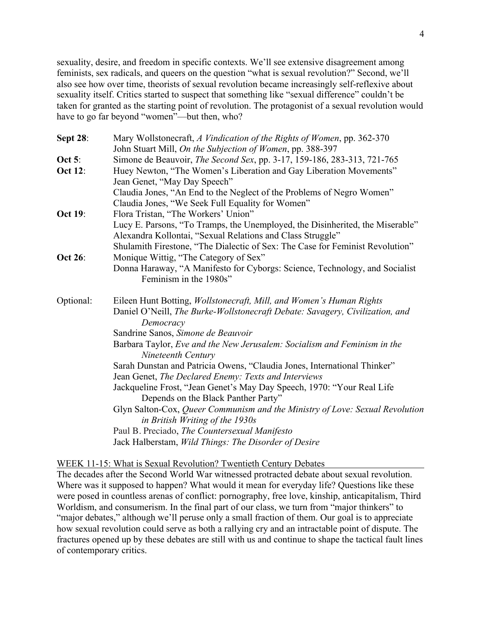sexuality, desire, and freedom in specific contexts. We'll see extensive disagreement among feminists, sex radicals, and queers on the question "what is sexual revolution?" Second, we'll also see how over time, theorists of sexual revolution became increasingly self-reflexive about sexuality itself. Critics started to suspect that something like "sexual difference" couldn't be taken for granted as the starting point of revolution. The protagonist of a sexual revolution would have to go far beyond "women"—but then, who?

| <b>Sept 28:</b> | Mary Wollstonecraft, A Vindication of the Rights of Women, pp. 362-370                                                                      |
|-----------------|---------------------------------------------------------------------------------------------------------------------------------------------|
|                 | John Stuart Mill, On the Subjection of Women, pp. 388-397                                                                                   |
| Oct 5:          | Simone de Beauvoir, The Second Sex, pp. 3-17, 159-186, 283-313, 721-765                                                                     |
| <b>Oct 12:</b>  | Huey Newton, "The Women's Liberation and Gay Liberation Movements"                                                                          |
|                 | Jean Genet, "May Day Speech"                                                                                                                |
|                 | Claudia Jones, "An End to the Neglect of the Problems of Negro Women"                                                                       |
|                 | Claudia Jones, "We Seek Full Equality for Women"                                                                                            |
| <b>Oct 19:</b>  | Flora Tristan, "The Workers' Union"                                                                                                         |
|                 | Lucy E. Parsons, "To Tramps, the Unemployed, the Disinherited, the Miserable"<br>Alexandra Kollontai, "Sexual Relations and Class Struggle" |
| Oct 26:         | Shulamith Firestone, "The Dialectic of Sex: The Case for Feminist Revolution"<br>Monique Wittig, "The Category of Sex"                      |
|                 | Donna Haraway, "A Manifesto for Cyborgs: Science, Technology, and Socialist<br>Feminism in the 1980s"                                       |
| Optional:       | Eileen Hunt Botting, Wollstonecraft, Mill, and Women's Human Rights                                                                         |
|                 | Daniel O'Neill, The Burke-Wollstonecraft Debate: Savagery, Civilization, and<br>Democracy                                                   |
|                 | Sandrine Sanos, Simone de Beauvoir                                                                                                          |
|                 | Barbara Taylor, Eve and the New Jerusalem: Socialism and Feminism in the<br>Nineteenth Century                                              |
|                 | Sarah Dunstan and Patricia Owens, "Claudia Jones, International Thinker"                                                                    |
|                 | Jean Genet, The Declared Enemy: Texts and Interviews                                                                                        |
|                 | Jackqueline Frost, "Jean Genet's May Day Speech, 1970: "Your Real Life                                                                      |
|                 | Depends on the Black Panther Party"                                                                                                         |
|                 | Glyn Salton-Cox, Queer Communism and the Ministry of Love: Sexual Revolution<br>in British Writing of the 1930s                             |
|                 | Paul B. Preciado, The Countersexual Manifesto                                                                                               |
|                 | Jack Halberstam, Wild Things: The Disorder of Desire                                                                                        |

# WEEK 11-15: What is Sexual Revolution? Twentieth Century Debates

The decades after the Second World War witnessed protracted debate about sexual revolution. Where was it supposed to happen? What would it mean for everyday life? Questions like these were posed in countless arenas of conflict: pornography, free love, kinship, anticapitalism, Third Worldism, and consumerism. In the final part of our class, we turn from "major thinkers" to "major debates," although we'll peruse only a small fraction of them. Our goal is to appreciate how sexual revolution could serve as both a rallying cry and an intractable point of dispute. The fractures opened up by these debates are still with us and continue to shape the tactical fault lines of contemporary critics.